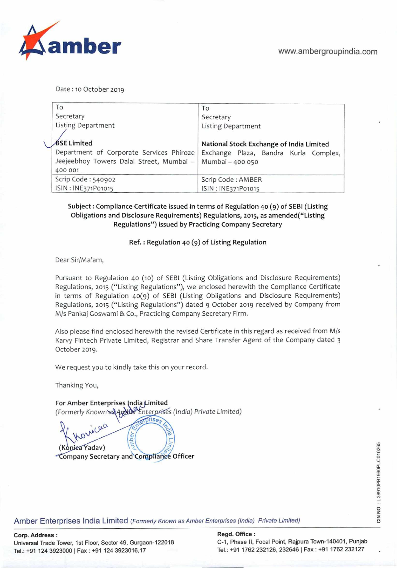

Date: 10 October 2019

|  | To                                                                                              | To                                                        |
|--|-------------------------------------------------------------------------------------------------|-----------------------------------------------------------|
|  | Secretary                                                                                       | Secretary                                                 |
|  | Listing Department                                                                              | <b>Listing Department</b>                                 |
|  | <b>BSE Limited</b>                                                                              | National Stock Exchange of India Limited                  |
|  | Department of Corporate Services Phiroze<br>Jeejeebhoy Towers Dalal Street, Mumbai -<br>400 001 | Exchange Plaza, Bandra Kurla Complex,<br>Mumbai - 400 050 |
|  | Scrip Code: 540902                                                                              | Scrip Code: AMBER                                         |
|  | ISIN: INE371P01015                                                                              | ISIN: INE371P01015                                        |

### **Subject: Compliance Certificate** issued in **terms of Regulation** 40 () of SEBI (Listing Obligations and Disclosure Requirements) Regulations, 2015, as amended("Listing Regulations") issued by Practicing Company Secretary

#### Ref.: Regulation 40 (9) of Listing Regulation

Dear Sir/Ma'am,

Pursuant to Regulation 40 (io) of SEBI (Listing Obligations and Disclosure Requirements) Regulations, 2015 ("Listing Regulations"), we enclosed herewith the Compliance Certificate in terms of Regulation 40(9) of SEBI (Listing Obligations and Disclosure Requirements) Regulations, 2015 ("Listing Regulations") dated 9 October 2019 received by Company from M/s Pankaj Goswami & Co., Practicing Company Secretary Firm.

Also please find enclosed herewith the revised Certificate in this regard as received from M/s Karvy Fintech Private Limited, Registrar and Share Transfer Agent of the Company dated 3 October 2019.

We request you to kindly take this on your record.

Thanking You,

For Amber Enterprises India Limited (ForrneriyKnovn. nter *india) Private Limited)* 

erprises icac (Konica Yadav) ompany Secretary and Compliance Officer

Amber Enterprises India Limited *(Formerly Known as Amber Enterprises (India) Private Limited)* 

Tel.: +91 124 3923000 | Fax: +91 124 3923016,17 Tel.: +91 1762 232126, 232646 | Fax: +91 1762 232127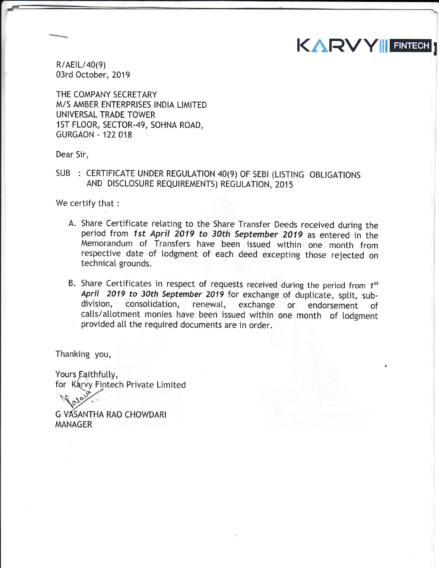$R/AEIL/40(9)$ 03rd October, 2019

THE COMPANY SECRETARY M/S AMBER ENTERPRISES INDIA LIMITED UNIVERSAL TRADE TOWER 1ST FLOOR, SECTOR-49, SOHNA ROAD, **GURGAON - 122 018** 

Dear Sir,

SUB : CERTIFICATE UNDER REGULATION 40(9) OF SEBI (LISTING OBLIGATIONS AND DISCLOSURE REQUIREMENTS) REGULATION, 2015

We certify that :

A. Share Certificate relating to the Share Transfer Deeds received during the period from 1st April 2019 to 30th September 2019 as entered in the Memorandum of Transfers have been issued within one month from respective date of lodgment of each deed excepting those rejected on technicaI grounds.

KARVY|| FINTECH

B. Share Certificates in respect of requests received during the period from  $1^{st}$ April 2019 to 30th September 2019 for exchange of duplicate, split, sub-<br>division, consolidation, renewal, exchange or endorsement of calls/allotment monies have been issued within one month of lodgment provided all the required documents are in order.

Thanking you,

Yours Eaithfully,<br>for Karvy Fintech Private Limited  $\sqrt{v^{2}y^{2}}$ 

 $\heartsuit$ G VASANTHA RAO CHOWDARI MANAGER